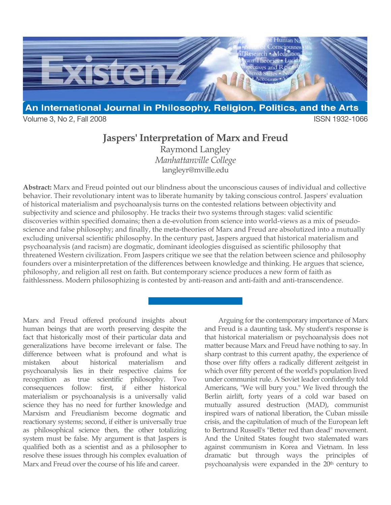

Volume 3, No 2, Fall 2008 ISSN 1932-1066

# **Jaspers' Interpretation of Marx and Freud**

Raymond Langley *Manhattanville College* langleyr@mville.edu

**Abstract:** Marx and Freud pointed out our blindness about the unconscious causes of individual and collective behavior. Their revolutionary intent was to liberate humanity by taking conscious control. Jaspers' evaluation of historical materialism and psychoanalysis turns on the contested relations between objectivity and subjectivity and science and philosophy. He tracks their two systems through stages: valid scientific discoveries within specified domains; then a de-evolution from science into world-views as a mix of pseudoscience and false philosophy; and finally, the meta-theories of Marx and Freud are absolutized into a mutually excluding universal scientific philosophy. In the century past, Jaspers argued that historical materialism and psychoanalysis (and racism) are dogmatic, dominant ideologies disguised as scientific philosophy that threatened Western civilization. From Jaspers critique we see that the relation between science and philosophy founders over a misinterpretation of the differences between knowledge and thinking. He argues that science, philosophy, and religion all rest on faith. But contemporary science produces a new form of faith as faithlessness. Modern philosophizing is contested by anti-reason and anti-faith and anti-transcendence.

Marx and Freud offered profound insights about human beings that are worth preserving despite the fact that historically most of their particular data and generalizations have become irrelevant or false. The difference between what is profound and what is mistaken about historical materialism and psychoanalysis lies in their respective claims for recognition as true scientific philosophy. Two consequences follow: first, if either historical materialism or psychoanalysis is a universally valid science they has no need for further knowledge and Marxism and Freudianism become dogmatic and reactionary systems; second, if either is universally true as philosophical science then, the other totalizing system must be false. My argument is that Jaspers is qualified both as a scientist and as a philosopher to resolve these issues through his complex evaluation of Marx and Freud over the course of his life and career.

Arguing for the contemporary importance of Marx and Freud is a daunting task. My student's response is that historical materialism or psychoanalysis does not matter because Marx and Freud have nothing to say. In sharp contrast to this current apathy, the experience of those over fifty offers a radically different zeitgeist in which over fifty percent of the world's population lived under communist rule. A Soviet leader confidently told Americans, "We will bury you." We lived through the Berlin airlift, forty years of a cold war based on mutually assured destruction (MAD), communist inspired wars of national liberation, the Cuban missile crisis, and the capitulation of much of the European left to Bertrand Russell's "Better red than dead" movement. And the United States fought two stalemated wars against communism in Korea and Vietnam. In less dramatic but through ways the principles of psychoanalysis were expanded in the 20<sup>th</sup> century to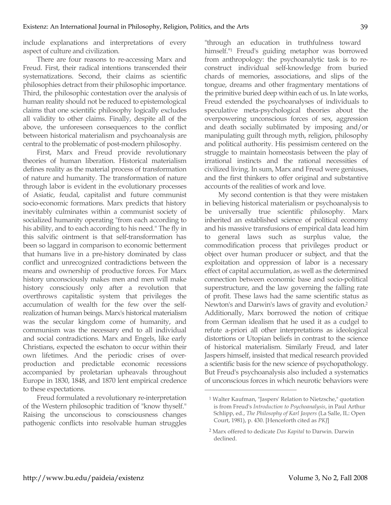include explanations and interpretations of every aspect of culture and civilization.

There are four reasons to re-accessing Marx and Freud. First, their radical intentions transcended their systematizations. Second, their claims as scientific philosophies detract from their philosophic importance. Third, the philosophic contestation over the analysis of human reality should not be reduced to epistemological claims that one scientific philosophy logically excludes all validity to other claims. Finally, despite all of the above, the unforeseen consequences to the conflict between historical materialism and psychoanalysis are central to the problematic of post-modern philosophy.

First, Marx and Freud provide revolutionary theories of human liberation. Historical materialism defines reality as the material process of transformation of nature and humanity. The transformation of nature through labor is evident in the evolutionary processes of Asiatic, feudal, capitalist and future communist socio-economic formations. Marx predicts that history inevitably culminates within a communist society of socialized humanity operating "from each according to his ability, and to each according to his need." The fly in this salvific ointment is that self-transformation has been so laggard in comparison to economic betterment that humans live in a pre-history dominated by class conflict and unrecognized contradictions between the means and ownership of productive forces. For Marx history unconsciously makes men and men will make history consciously only after a revolution that overthrows capitalistic system that privileges the accumulation of wealth for the few over the selfrealization of human beings. Marx's historical materialism was the secular kingdom come of humanity, and communism was the necessary end to all individual and social contradictions. Marx and Engels, like early Christians, expected the eschaton to occur within their own lifetimes. And the periodic crises of overproduction and predictable economic recessions accompanied by proletarian upheavals throughout Europe in 1830, 1848, and 1870 lent empirical credence to these expectations.

Freud formulated a revolutionary re-interpretation of the Western philosophic tradition of "know thyself." Raising the unconscious to consciousness changes pathogenic conflicts into resolvable human struggles "through an education in truthfulness toward himself."1 Freud's guiding metaphor was borrowed from anthropology: the psychoanalytic task is to reconstruct individual self-knowledge from buried chards of memories, associations, and slips of the tongue, dreams and other fragmentary mentations of the primitive buried deep within each of us. In late works, Freud extended the psychoanalyses of individuals to speculative meta-psychological theories about the overpowering unconscious forces of sex, aggression and death socially sublimated by imposing and/or manipulating guilt through myth, religion, philosophy and political authority. His pessimism centered on the struggle to maintain homeostasis between the play of irrational instincts and the rational necessities of civilized living. In sum, Marx and Freud were geniuses, and the first thinkers to offer original and substantive accounts of the realities of work and love.

My second contention is that they were mistaken in believing historical materialism or psychoanalysis to be universally true scientific philosophy. Marx inherited an established science of political economy and his massive transfusions of empirical data lead him to general laws such as surplus value, the commodification process that privileges product or object over human producer or subject, and that the exploitation and oppression of labor is a necessary effect of capital accumulation, as well as the determined connection between economic base and socio-political superstructure, and the law governing the falling rate of profit. These laws had the same scientific status as Newton's and Darwin's laws of gravity and evolution.2 Additionally, Marx borrowed the notion of critique from German idealism that he used it as a cudgel to refute a-priori all other interpretations as ideological distortions or Utopian beliefs in contrast to the science of historical materialism. Similarly Freud, and later Jaspers himself, insisted that medical research provided a scientific basis for the new science of psychopathology. But Freud's psychoanalysis also included a systematics of unconscious forces in which neurotic behaviors were

<sup>1</sup> Walter Kaufman, "Jaspers' Relation to Nietzsche," quotation is from Freud's *Introduction to Psychoanalysis*, in Paul Arthur Schlipp, ed., *The Philosophy of Karl Jaspers* (La Salle, IL: Open Court, 1981), p. 430. [Henceforth cited as *PKJ*]

<sup>2</sup> Marx offered to dedicate *Das Kapital* to Darwin. Darwin declined.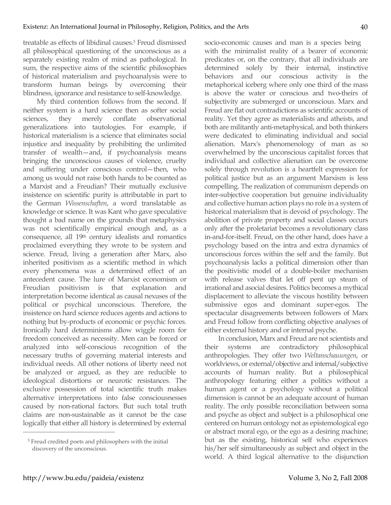treatable as effects of libidinal causes.3 Freud dismissed all philosophical questioning of the unconscious as a separately existing realm of mind as pathological. In sum, the respective aims of the scientific philosophies of historical materialism and psychoanalysis were to transform human beings by overcoming their blindness, ignorance and resistance to self-knowledge.

My third contention follows from the second. If neither system is a hard science then as softer social sciences, they merely conflate observational generalizations into tautologies. For example, if historical materialism is a science that eliminates social injustice and inequality by prohibiting the unlimited transfer of wealth—and, if psychoanalysis means bringing the unconscious causes of violence, cruelty and suffering under conscious control—then, who among us would not raise both hands to be counted as a Marxist and a Freudian? Their mutually exclusive insistence on scientific purity is attributable in part to the German *Wissenschaften*, a word translatable as knowledge or science. It was Kant who gave speculative thought a bad name on the grounds that metaphysics was not scientifically empirical enough and, as a consequence, all 19th century idealists and romantics proclaimed everything they wrote to be system and science. Freud, living a generation after Marx, also inherited positivism as a scientific method in which every phenomena was a determined effect of an antecedent cause. The lure of Marxist economism or Freudian positivism is that explanation and interpretation become identical as causal nexuses of the political or psychical unconscious. Therefore, the insistence on hard science reduces agents and actions to nothing but by-products of economic or psychic forces. Ironically hard determinisms allow wiggle room for freedom conceived as necessity. Men can be forced or analyzed into self-conscious recognition of the necessary truths of governing material interests and individual needs. All other notions of liberty need not be analyzed or argued, as they are reducible to ideological distortions or neurotic resistances. The exclusive possession of total scientific truth makes alternative interpretations into false consciousnesses caused by non-rational factors. But such total truth claims are non-sustainable as it cannot be the case logically that either all history is determined by external socio-economic causes and man is a species being with the minimalist reality of a bearer of economic predicates or, on the contrary, that all individuals are determined solely by their internal, instinctive behaviors and our conscious activity is the metaphorical iceberg where only one third of the mass is above the water or conscious and two-theirs of subjectivity are submerged or unconscious. Marx and Freud are flat out contradictions as scientific accounts of reality. Yet they agree as materialists and atheists, and both are militantly anti-metaphysical, and both thinkers were dedicated to eliminating individual and social alienation. Marx's phenomenology of man as so overwhelmed by the unconscious capitalist forces that individual and collective alienation can be overcome solely through revolution is a heartfelt expression for political justice but as an argument Marxism is less compelling. The realization of communism depends on inter-subjective cooperation but genuine individuality and collective human action plays no role in a system of historical materialism that is devoid of psychology. The abolition of private property and social classes occurs only after the proletariat becomes a revolutionary class in-and-for-itself. Freud, on the other hand, does have a psychology based on the intra and extra dynamics of unconscious forces within the self and the family. But psychoanalysis lacks a political dimension other than the positivistic model of a double-boiler mechanism with release valves that let off pent up steam of irrational and asocial desires. Politics becomes a mythical displacement to alleviate the viscous hostility between submissive egos and dominant super-egos. The spectacular disagreements between followers of Marx and Freud follow from conflicting objective analyses of either external history and or internal psyche.

In conclusion, Marx and Freud are not scientists and their systems are contradictory philosophical anthropologies. They offer two *Weltanschauungen*, or worldviews, or external/objective and internal/subjective accounts of human reality. But a philosophical anthropology featuring either a politics without a human agent or a psychology without a political dimension is cannot be an adequate account of human reality. The only possible reconciliation between soma and psyche as object and subject is a philosophical one centered on human ontology not as epistemological ego or abstract moral ego, or the ego as a desiring machine; but as the existing, historical self who experiences his/her self simultaneously as subject and object in the world. A third logical alternative to the disjunction

<sup>3</sup> Freud credited poets and philosophers with the initial discovery of the unconscious.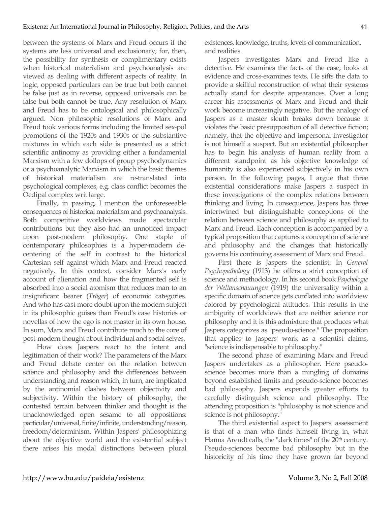between the systems of Marx and Freud occurs if the systems are less universal and exclusionary; for, then, the possibility for synthesis or complimentary exists when historical materialism and psychoanalysis are viewed as dealing with different aspects of reality. In logic, opposed particulars can be true but both cannot be false just as in reverse, opposed universals can be false but both cannot be true. Any resolution of Marx and Freud has to be ontological and philosophically argued. Non philosophic resolutions of Marx and Freud took various forms including the limited sex-pol promotions of the 1920s and 1930s or the substantive mixtures in which each side is presented as a strict scientific antinomy as providing either a fundamental Marxism with a few dollops of group psychodynamics or a psychoanalytic Marxism in which the basic themes of historical materialism are re-translated into psychological complexes, e.g. class conflict becomes the Oedipal complex writ large.

Finally, in passing, I mention the unforeseeable consequences of historical materialism and psychoanalysis. Both competitive worldviews made spectacular contributions but they also had an unnoticed impact upon post-modern philosophy. One staple of contemporary philosophies is a hyper-modern decentering of the self in contrast to the historical Cartesian self against which Marx and Freud reacted negatively. In this context, consider Marx's early account of alienation and how the fragmented self is absorbed into a social atomism that reduces man to an insignificant bearer (*Träger*) of economic categories. And who has cast more doubt upon the modern subject in its philosophic guises than Freud's case histories or novellas of how the ego is not master in its own house. In sum, Marx and Freud contribute much to the core of post-modern thought about individual and social selves.

How does Jaspers react to the intent and legitimation of their work? The parameters of the Marx and Freud debate center on the relation between science and philosophy and the differences between understanding and reason which, in turn, are implicated by the antinomial clashes between objectivity and subjectivity. Within the history of philosophy, the contested terrain between thinker and thought is the unacknowledged open sesame to all oppositions: particular/universal, finite/infinite, understanding/reason, freedom/determinism. Within Jaspers' philosophizing about the objective world and the existential subject there arises his modal distinctions between plural existences, knowledge, truths, levels of communication, and realities.

Jaspers investigates Marx and Freud like a detective. He examines the facts of the case, looks at evidence and cross-examines texts. He sifts the data to provide a skillful reconstruction of what their systems actually stand for despite appearances. Over a long career his assessments of Marx and Freud and their work become increasingly negative. But the analogy of Jaspers as a master sleuth breaks down because it violates the basic presupposition of all detective fiction; namely, that the objective and impersonal investigator is not himself a suspect. But an existential philosopher has to begin his analysis of human reality from a different standpoint as his objective knowledge of humanity is also experienced subjectively in his own person. In the following pages, I argue that three existential considerations make Jaspers a suspect in these investigations of the complex relations between thinking and living. In consequence, Jaspers has three intertwined but distinguishable conceptions of the relation between science and philosophy as applied to Marx and Freud. Each conception is accompanied by a typical proposition that captures a conception of science and philosophy and the changes that historically governs his continuing assessment of Marx and Freud.

First there is Jaspers the scientist. In *General Psychopathology* (1913) he offers a strict conception of science and methodology. In his second book *Psychologie der Weltanschauungen* (1919) the universality within a specific domain of science gets conflated into worldview colored by psychological attitudes. This results in the ambiguity of worldviews that are neither science nor philosophy and it is this admixture that produces what Jaspers categorizes as "pseudo-science." The proposition that applies to Jaspers' work as a scientist claims, "science is indispensable to philosophy."

The second phase of examining Marx and Freud Jaspers undertakes as a philosopher. Here pseudoscience becomes more than a mingling of domains beyond established limits and pseudo-science becomes bad philosophy. Jaspers expends greater efforts to carefully distinguish science and philosophy. The attending proposition is "philosophy is not science and science is not philosophy."

The third existential aspect to Jaspers' assessment is that of a man who finds himself living in, what Hanna Arendt calls, the "dark times" of the 20<sup>th</sup> century. Pseudo-sciences become bad philosophy but in the historicity of his time they have grown far beyond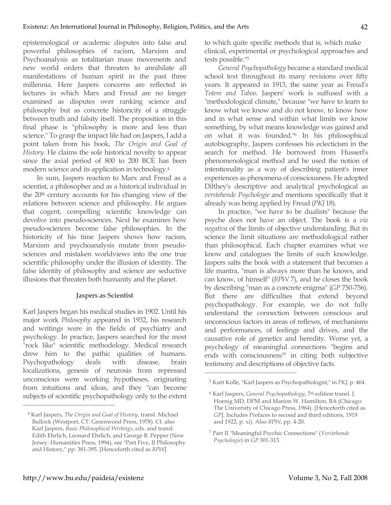epistemological or academic disputes into false and powerful philosophies of racism, Marxism and Psychoanalysis as totalitarian mass movements and new world orders that threaten to annihilate all manifestations of human spirit in the past three millennia. Here Jaspers concerns are reflected in lectures in which Marx and Freud are no longer examined as disputes over ranking science and philosophy but as concrete historicity of a struggle between truth and falsity itself. The proposition in this final phase is "philosophy is more and less than science." To grasp the impact life had on Jaspers, I add a point taken from his book, *The Origin and Goal of History*. He claims the sole historical novelty to appear since the axial period of 800 to 200 BCE has been modern science and its application in technology.4

In sum, Jaspers reaction to Marx and Freud as a scientist, a philosopher and as a historical individual in the 20<sup>th</sup> century accounts for his changing view of the relations between science and philosophy. He argues that cogent, compelling scientific knowledge can devolve into pseudo-sciences. Next he examines how pseudo-sciences become false philosophies. In the historicity of his time Jaspers shows how racism, Marxism and psychoanalysis mutate from pseudosciences and mistaken worldviews into the one true scientific philosophy under the illusion of identity. The false identity of philosophy and science are seductive illusions that threaten both humanity and the planet.

# **Jaspers as Scientist**

Karl Jaspers began his medical studies in 1902. Until his major work *Philosophy* appeared in 1932, his research and writings were in the fields of psychiatry and psychology. In practice, Jaspers searched for the most "rock like" scientific methodology. Medical research drew him to the pathic qualities of humans. Psychopathology deals with disease, brain localizations, genesis of neurosis from repressed unconscious were working hypotheses, originating from intuitions and ideas, and they "can become subjects of scientific psychopathology only to the extent to which quite specific methods that is, which make clinical, experimental or psychological approaches and tests possible."5

*General Psychopathology* became a standard medical school text throughout its many revisions over fifty years. It appeared in 1913, the same year as Freud's *Totem and Taboo*. Jaspers' work is suffused with a "methodological climate," because "we have to learn to know what we know and do not know, to know how and in what sense and within what limits we know something, by what means knowledge was gained and on what it was founded."6 In his philosophical autobiography, Jaspers confesses his eclecticism in the search for method. He borrowed from Husserl's phenomenological method and he used the notion of intentionality as a way of describing patient's inner experiences as phenomena of consciousness. He adopted Dilthey's descriptive and analytical psychological as *verstehende Psychologie* and mentions specifically that it already was being applied by Freud (*PKJ* 18).

In practice, "we have to be dualists" because the psyche does not have an object. The book is a *via negativa* of the limits of objective understanding. But in science the limit situations are methodological rather than philosophical. Each chapter examines what we know and catalogues the limits of such knowledge. Jaspers salts the book with a statement that becomes a life mantra, "man is always more than he knows, and can know, of himself" (*BPW* 7), and he closes the book by describing "man as a concrete enigma" (*GP* 750-756). But there are difficulties that extend beyond psychopathology. For example, we do not fully understand the connection between conscious and unconscious factors in areas of reflexes, of mechanisms and performances, of feelings and drives, and the causative role of genetics and heredity. Worse yet, a psychology of meaningful connections "begins and ends with consciousness<sup>17</sup> in citing both subjective testimony and descriptions of objective facts.

 $\overline{a}$ 

<sup>4</sup> Karl Jaspers, *The Origin and Goal of History*, transl. Michael Bullock (Westport, CT: Greenwood Press, 1978). Cf. also Karl Jaspers, *Basic Philosophical Writings*, eds. and transl. Edith Ehrlich, Leonard Ehrlich, and George B. Pepper (New Jersey: Humanities Press, 1994), see "Part Five, II Philosophy and History," pp. 381-395. [Henceforth cited as *BPW*]

<sup>5</sup> Kurt Kolle, "Karl Jaspers as Psychopathologist," in *PKJ*, p. 464.

<sup>6</sup> Karl Jaspers, *General Psychopathology*, 7th edition transl. J. Hoenig MD, DPM and Marion W. Hamilton, BA (Chicago: The University of Chicago Press, 1964). [Henceforth cited as *GP*]. Includes Prefaces to second and third editions, 1919 and 1922, p. xi). Also *BPW*, pp. 4-20.

<sup>7</sup> Part II "Meaningful Psychic Connections" (*Verstehende Psychologie*) in *GP* 301-313.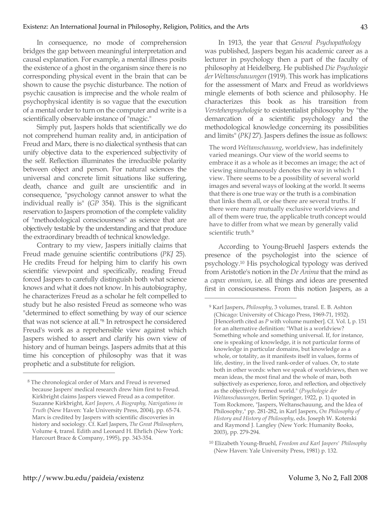In consequence, no mode of comprehension bridges the gap between meaningful interpretation and causal explanation. For example, a mental illness posits the existence of a ghost in the organism since there is no corresponding physical event in the brain that can be shown to cause the psychic disturbance. The notion of psychic causation is imprecise and the whole realm of psychophysical identity is so vague that the execution of a mental order to turn on the computer and write is a scientifically observable instance of "magic."

Simply put, Jaspers holds that scientifically we do not comprehend human reality and, in anticipation of Freud and Marx, there is no dialectical synthesis that can unify objective data to the experienced subjectivity of the self. Reflection illuminates the irreducible polarity between object and person. For natural sciences the universal and concrete limit situations like suffering, death, chance and guilt are unscientific and in consequence, "psychology cannot answer to what the individual really is" (*GP* 354). This is the significant reservation to Jaspers promotion of the complete validity of "methodological consciousness" as science that are objectively testable by the understanding and that produce the extraordinary breadth of technical knowledge.

Contrary to my view, Jaspers initially claims that Freud made genuine scientific contributions (*PKJ* 25). He credits Freud for helping him to clarify his own scientific viewpoint and specifically, reading Freud forced Jaspers to carefully distinguish both what science knows and what it does not know. In his autobiography, he characterizes Freud as a scholar he felt compelled to study but he also resisted Freud as someone who was "determined to effect something by way of our science that was not science at all."8 In retrospect he considered Freud's work as a reprehensible view against which Jaspers wished to assert and clarify his own view of history and of human beings. Jaspers admits that at this time his conception of philosophy was that it was prophetic and a substitute for religion.

In 1913, the year that *General Psychopathology* was published, Jaspers began his academic career as a lecturer in psychology then a part of the faculty of philosophy at Heidelberg. He published *Die Psychologie der Weltanschauungen* (1919). This work has implications for the assessment of Marx and Freud as worldviews mingle elements of both science and philosophy. He characterizes this book as his transition from *Verstehenpsychologie* to existentialist philosophy by "the demarcation of a scientific psychology and the methodological knowledge concerning its possibilities and limits" (*PKJ* 27). Jaspers defines the issue as follows:

The word *Weltanschauung*, worldview, has indefinitely varied meanings. Our view of the world seems to embrace it as a whole as it becomes an image; the act of viewing simultaneously denotes the way in which I view. There seems to be a possibility of several world images and several ways of looking at the world. It seems that there is one true way or the truth is a combination that links them all, or else there are several truths. If there were many mutually exclusive worldviews and all of them were true, the applicable truth concept would have to differ from what we mean by generally valid scientific truth.<sup>9</sup>

According to Young-Bruehl Jaspers extends the presence of the psychologist into the science of psychology.10 His psychological typology was derived from Aristotle's notion in the *De Anima* that the mind as a *capax omnium*, i.e. all things and ideas are presented first in consciousness. From this notion Jaspers, as a

 $\overline{a}$ 

<sup>8</sup> The chronological order of Marx and Freud is reversed because Jaspers' medical research drew him first to Freud. Kirkbright claims Jaspers viewed Freud as a competitor. Suzanne Kirkbright, *Karl Jaspers, A Biography, Navigations in Truth* (New Haven: Yale University Press, 2004), pp. 65-74. Marx is credited by Jaspers with scientific discoveries in history and sociology. Cf. Karl Jaspers, *The Great Philosophers*, Volume 4, transl. Edith and Leonard H. Ehrlich (New York: Harcourt Brace & Company, 1995), pp. 343-354.

<sup>9</sup> Karl Jaspers, *Philosophy*, 3 volumes, transl. E. B. Ashton (Chicago: University of Chicago Press, 1969-71, 1932). [Henceforth cited as *P* with volume number]. Cf. Vol. I, p. 151 for an alternative definition: "What is a worldview? Something whole and something universal. If, for instance, one is speaking of knowledge, it is not particular forms of knowledge in particular domains, but knowledge as a whole, or totality, as it manifests itself in values, forms of life, destiny, in the lived rank-order of values. Or, to state both in other words: when we speak of worldviews, then we mean ideas, the most final and the whole of man, both subjectively as experience, force, and reflection, and objectively as the objectively formed world." (*Psychologie der Weltanschauungen*, Berlin: Springer, 1922, p. 1) quoted in Tom Rockmore, "Jaspers, Weltanschauung, and the Idea of Philosophy," pp. 281-282, in Karl Jaspers, *On Philosophy of History and History of Philosophy*, eds. Joseph W. Koterski and Raymond J. Langley (New York: Humanity Books, 2003), pp. 279-294.

<sup>10</sup> Elizabeth Young-Bruehl, *Freedom and Karl Jaspers' Philosophy* (New Haven: Yale University Press, 1981) p. 132.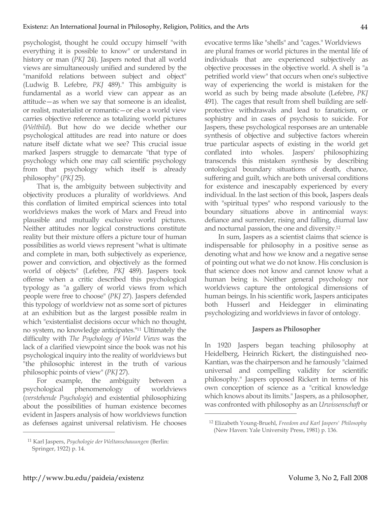psychologist, thought he could occupy himself "with everything it is possible to know" or understand in history or man (*PKJ* 24). Jaspers noted that all world views are simultaneously unified and sundered by the "manifold relations between subject and object" (Ludwig B. Lefebre, *PKJ* 489)." This ambiguity is fundamental as a world view can appear as an attitude—as when we say that someone is an idealist, or realist, materialist or romantic—or else a world view carries objective reference as totalizing world pictures (*Weltbild*). But how do we decide whether our psychological attitudes are read into nature or does nature itself dictate what we see? This crucial issue marked Jaspers struggle to demarcate "that type of psychology which one may call scientific psychology from that psychology which itself is already philosophy" (*PKJ* 25).

That is, the ambiguity between subjectivity and objectivity produces a plurality of worldviews. And this conflation of limited empirical sciences into total worldviews makes the work of Marx and Freud into plausible and mutually exclusive world pictures. Neither attitudes nor logical constructions constitute reality but their mixture offers a picture tour of human possibilities as world views represent "what is ultimate and complete in man, both subjectively as experience, power and conviction, and objectively as the formed world of objects" (Lefebre, *PKJ* 489). Jaspers took offense when a critic described this psychological typology as "a gallery of world views from which people were free to choose" (*PKJ* 27). Jaspers defended this typology of worldview not as some sort of pictures at an exhibition but as the largest possible realm in which "existentialist decisions occur which no thought, no system, no knowledge anticipates."11 Ultimately the difficulty with *The Psychology of World Views* was the lack of a clarified viewpoint since the book was not his psychological inquiry into the reality of worldviews but "the philosophic interest in the truth of various philosophic points of view" (*PKJ* 27).

For example, the ambiguity between a psychological phenomenology of worldviews (*verstehende Psychologie*) and existential philosophizing about the possibilities of human existence becomes evident in Jaspers analysis of how worldviews function as defenses against universal relativism. He chooses evocative terms like "shells" and "cages." Worldviews are plural frames or world pictures in the mental life of individuals that are experienced subjectively as objective processes in the objective world. A shell is "a petrified world view" that occurs when one's subjective way of experiencing the world is mistaken for the world as such by being made absolute (Lefebre, *PKJ* 491). The cages that result from shell building are selfprotective withdrawals and lead to fanaticism, or sophistry and in cases of psychosis to suicide. For Jaspers, these psychological responses are an untenable synthesis of objective and subjective factors wherein true particular aspects of existing in the world get conflated into wholes. Jaspers' philosophizing transcends this mistaken synthesis by describing ontological boundary situations of death, chance, suffering and guilt, which are both universal conditions for existence and inescapably experienced by every individual. In the last section of this book, Jaspers deals with "spiritual types" who respond variously to the boundary situations above in antinomial ways: defiance and surrender, rising and falling, diurnal law and nocturnal passion, the one and diversity.12

44

In sum, Jaspers as a scientist claims that science is indispensable for philosophy in a positive sense as denoting what and how we know and a negative sense of pointing out what we do not know. His conclusion is that science does not know and cannot know what a human being is. Neither general psychology nor worldviews capture the ontological dimensions of human beings. In his scientific work, Jaspers anticipates both Husserl and Heidegger in eliminating psychologizing and worldviews in favor of ontology.

#### **Jaspers as Philosopher**

In 1920 Jaspers began teaching philosophy at Heidelberg, Heinrich Rickert, the distinguished neo-Kantian, was the chairperson and he famously "claimed universal and compelling validity for scientific philosophy." Jaspers opposed Rickert in terms of his own conception of science as a "critical knowledge which knows about its limits." Jaspers, as a philosopher, was confronted with philosophy as an *Urwissenschaft* or

 $\overline{a}$ 

<sup>11</sup> Karl Jaspers, *Psychologie der Weltanschauungen* (Berlin: Springer, 1922) p. 14.

<sup>12</sup> Elizabeth Young-Bruehl, *Freedom and Karl Jaspers' Philosophy* (New Haven: Yale University Press, 1981) p. 136.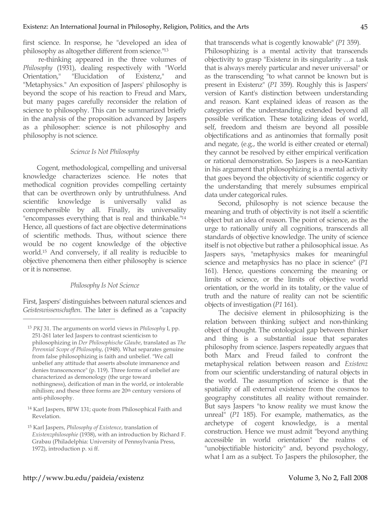first science. In response, he "developed an idea of philosophy as altogether different from science."13

 re-thinking appeared in the three volumes of *Philosophy* (1931), dealing respectively with "World Orientation," "Elucidation of Existenz," and "Metaphysics." An exposition of Jaspers' philosophy is beyond the scope of his reaction to Freud and Marx, but many pages carefully reconsider the relation of science to philosophy. This can be summarized briefly in the analysis of the proposition advanced by Jaspers as a philosopher: science is not philosophy and philosophy is not science.

### *Science Is Not Philosophy*

Cogent, methodological, compelling and universal knowledge characterizes science. He notes that methodical cognition provides compelling certainty that can be overthrown only by untruthfulness. And scientific knowledge is universally valid as comprehensible by all. Finally, its universality "encompasses everything that is real and thinkable."14 Hence, all questions of fact are objective determinations of scientific methods. Thus, without science there would be no cogent knowledge of the objective world.15 And conversely, if all reality is reducible to objective phenomena then either philosophy is science or it is nonsense.

# *Philosophy Is Not Science*

First, Jaspers' distinguishes between natural sciences and *Geisteswissenschaften*. The later is defined as a "capacity

 $\overline{a}$ 

that transcends what is cogently knowable" (*P1* 359). Philosophizing is a mental activity that transcends objectivity to grasp "Existenz in its singularity …a task that is always merely particular and never universal" or as the transcending "to what cannot be known but is present in Existenz" (*P1* 359). Roughly this is Jaspers' version of Kant's distinction between understanding and reason. Kant explained ideas of reason as the categories of the understanding extended beyond all possible verification. These totalizing ideas of world, self, freedom and theism are beyond all possible objectifications and as antinomies that formally posit and negate, (e.g., the world is either created or eternal) they cannot be resolved by either empirical verification or rational demonstration. So Jaspers is a neo-Kantian in his argument that philosophizing is a mental activity that goes beyond the objectivity of scientific cogency or the understanding that merely subsumes empirical data under categorical rules.

Second, philosophy is not science because the meaning and truth of objectivity is not itself a scientific object but an idea of reason. The point of science, as the urge to rationally unify all cognitions, transcends all standards of objective knowledge. The unity of science itself is not objective but rather a philosophical issue. As Jaspers says, "metaphysics makes for meaningful science and metaphysics has no place in science" (*P1* 161). Hence, questions concerning the meaning or limits of science, or the limits of objective world orientation, or the world in its totality, or the value of truth and the nature of reality can not be scientific objects of investigation (*P1* 161).

The decisive element in philosophizing is the relation between thinking subject and non-thinking object of thought. The ontological gap between thinker and thing is a substantial issue that separates philosophy from science. Jaspers repeatedly argues that both Marx and Freud failed to confront the metaphysical relation between reason and *Existenz* from our scientific understanding of natural objects in the world. The assumption of science is that the spatiality of all external existence from the cosmos to geography constitutes all reality without remainder. But says Jaspers "to know reality we must know the unreal" (*P1* 185). For example, mathematics, as the archetype of cogent knowledge, is a mental construction. Hence we must admit "beyond anything accessible in world orientation" the realms of "unobjectifiable historicity" and, beyond psychology, what I am as a subject. To Jaspers the philosopher, the

<sup>13</sup> *PKJ* 31. The arguments on world views in *Philosophy* I, pp. 251-261 later led Jaspers to contrast scienticism to philosophizing in *Der Philosophische Glaube*, translated as *The Perennial Scope of Philosophy*, (1948). What separates genuine from false philosophizing is faith and unbelief. "We call unbelief any attitude that asserts absolute immanence and denies transcencence" (p. 119). Three forms of unbelief are characterized as demonology (the urge toward nothingness), deification of man in the world, or intolerable nihilism; and these three forms are 20th century versions of anti-philosophy.

<sup>14</sup> Karl Jaspers, BPW 131; quote from Philosophical Faith and Revelation.

<sup>15</sup> Karl Jaspers, *Philosophy of Existence*, translation of *Existenzphilosophie* (1938), with an introduction by Richard F. Grabau (Philadelphia: University of Pennsylvania Press, 1972), introduction p. xi ff.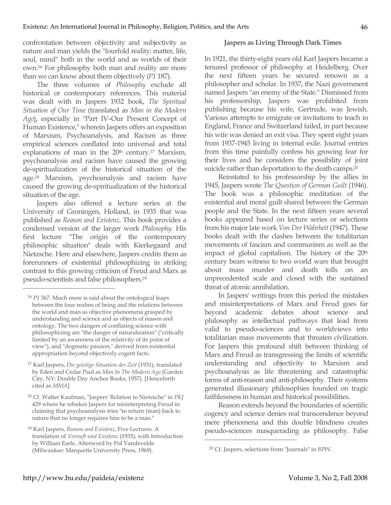confrontation between objectivity and subjectivity as nature and man yields the "fourfold reality: matter, life, soul, mind" both in the world and as worlds of their own.16 For philosophy both man and reality are more than we can know about them objectively (*P1* 187).

The three volumes of *Philosophy* exclude all historical or contemporary references. This material was dealt with in Jaspers 1932 book, *The Spiritual Situation of Our Time* (translated as *Man in the Modern Age*), especially in "Part IV–Our Present Concept of Human Existence," wherein Jaspers offers an exposition of Marxism, Psychoanalysis, and Racism as three empirical sciences conflated into universal and total explanations of man in the  $20<sup>th</sup>$  century.<sup>17</sup> Marxism, psychoanalysis and racism have caused the growing de-spiritualization of the historical situation of the age.18 Marxism, psychoanalysis and racism have caused the growing de-spiritualization of the historical situation of the age.

Jaspers also offered a lecture series at the University of Groningen, Holland, in 1935 that was published as *Reason and Existenz*. This book provides a condensed version of the larger work *Philosophy*. His first lecture "The origin of the contemporary philosophic situation" deals with Kierkegaard and Nietzsche. Here and elsewhere, Jaspers credits them as forerunners of existential philosophizing in striking contrast to this growing criticism of Freud and Marx as pseudo-scientists and false philosophers.19

 $\overline{a}$ 

### **Jaspers as Living Through Dark Times**

In 1921, the thirty-eight years old Karl Jaspers became a tenured professor of philosophy at Heidelberg. Over the next fifteen years he secured renown as a philosopher and scholar. In 1937, the Nazi government named Jaspers "an enemy of the State." Dismissed from his professorship, Jaspers was prohibited from publishing because his wife, Gertrude, was Jewish. Various attempts to emigrate or invitations to teach in England, France and Switzerland failed, in part because his wife was denied an exit visa. They spent eight years from 1937-1945 living in internal exile. Journal entries from this time painfully confess his growing fear for their lives and he considers the possibility of joint suicide rather than deportation to the death camps.<sup>20</sup>

Reinstated to his professorship by the allies in 1945, Jaspers wrote *The Question of German Guilt* (1946). The book was a philosophic meditation of the existential and moral guilt shared between the German people and the State. In the next fifteen years several books appeared based on lecture series or selections from his major late work *Von Der Wahrheit* (1947). These books dealt with the clashes between the totalitarian movements of fascism and communism as well as the impact of global capitalism. The history of the 20<sup>th</sup> century bears witness to two world wars that brought about mass murder and death tolls on an unprecedented scale and closed with the sustained threat of atomic annihilation.

In Jaspers' writings from this period the mistakes and misinterpretations of Marx and Freud goes far beyond academic debates about science and philosophy as intellectual pathways that lead from valid to pseudo-sciences and to worldviews into totalitarian mass movements that threaten civilization. For Jaspers this profound shift between thinking of Marx and Freud as transgressing the limits of scientific understanding and objectivity to Marxism and psychoanalysis as life threatening and catastrophic forms of anti-reason and anti-philosophy. Their systems generated illusionary philosophies founded on tragic faithlessness in human and historical possibilities.

Reason extends beyond the boundaries of scientific cogency and science denies real transcendence beyond mere phenomena and this double blindness creates pseudo-sciences masquerading as philosophy. False

<sup>16</sup> *P1* 367. Much more is said about the ontological leaps between the four realms of being and the relations between the world and man as objective phenomena grasped by understanding and science and as objects of reason and ontology. The two dangers of conflating science with philosophizing are "the danger of naturalization" ("critically limited by an awareness of the relativity of its point of view"), and "dogmatic passion," derived from existential appropriation beyond objectively cogent facts.

<sup>17</sup> Karl Jaspers, *Die geistige Situation der Zeit* (1931), translated by Eden and Cedar Paul as *Man In The Modern Age* (Garden City, NY: Double Day Anchor Books, 1957). [Henceforth cited as *MMA*]

<sup>18</sup> Cf. Walter Kaufman, "Jaspers' Relation to Nietzsche" in *PKJ* 429 where he rebukes Jaspers for misinterpreting Freud in claiming that psychoanalysis tries "to return (man) back to nature that no longer requires him to be a man."

<sup>19</sup> Karl Jaspers, *Reason and Existenz*, Five Lectures. A translation of *Vernuft und Existenz* (1935), with Introduction by William Earle, Afterword by Pol Vandevelde (Milwaukee: Marquette University Press, 1969).

<sup>20</sup> Cf. Jaspers, selections from "Journals" in *BPW*.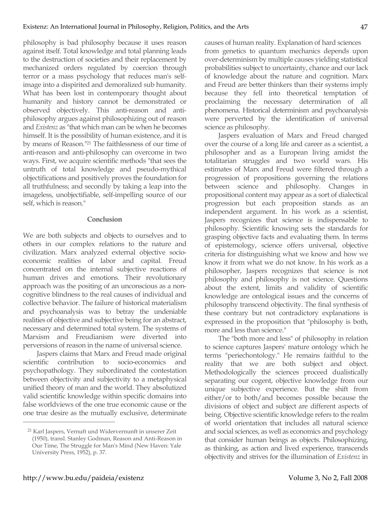philosophy is bad philosophy because it uses reason against itself. Total knowledge and total planning leads to the destruction of societies and their replacement by mechanized orders regulated by coercion through terror or a mass psychology that reduces man's selfimage into a dispirited and demoralized sub humanity. What has been lost in contemporary thought about humanity and history cannot be demonstrated or observed objectively. This anti-reason and antiphilosophy argues against philosophizing out of reason and *Existenz* as "that which man can be when he becomes himself. It is the possibility of human existence, and it is by means of Reason."21 The faithlessness of our time of anti-reason and anti-philosophy can overcome in two ways. First, we acquire scientific methods "that sees the untruth of total knowledge and pseudo-mythical objectifications and positively proves the foundation for all truthfulness; and secondly by taking a leap into the imageless, unobjectifiable, self-impelling source of our self, which is reason."

### **Conclusion**

We are both subjects and objects to ourselves and to others in our complex relations to the nature and civilization. Marx analyzed external objective socioeconomic realities of labor and capital. Freud concentrated on the internal subjective reactions of human drives and emotions. Their revolutionary approach was the positing of an unconscious as a noncognitive blindness to the real causes of individual and collective behavior. The failure of historical materialism and psychoanalysis was to betray the undeniable realities of objective and subjective being for an abstract, necessary and determined total system. The systems of Marxism and Freudianism were diverted into perversions of reason in the name of universal science.

Jaspers claims that Marx and Freud made original scientific contribution to socio-economics and psychopathology. They subordinated the contestation between objectivity and subjectivity to a metaphysical unified theory of man and the world. They absolutized valid scientific knowledge within specific domains into false worldviews of the one true economic cause or the one true desire as the mutually exclusive, determinate

causes of human reality. Explanation of hard sciences from genetics to quantum mechanics depends upon over-determinism by multiple causes yielding statistical probabilities subject to uncertainty, chance and our lack of knowledge about the nature and cognition. Marx and Freud are better thinkers than their systems imply because they fell into theoretical temptation of proclaiming the necessary determination of all phenomena. Historical determinism and psychoanalysis were perverted by the identification of universal science as philosophy.

Jaspers evaluation of Marx and Freud changed over the course of a long life and career as a scientist, a philosopher and as a European living amidst the totalitarian struggles and two world wars. His estimates of Marx and Freud were filtered through a progression of propositions governing the relations between science and philosophy. Changes in propositional content may appear as a sort of dialectical progression but each proposition stands as an independent argument. In his work as a scientist, Jaspers recognizes that science is indispensable to philosophy. Scientific knowing sets the standards for grasping objective facts and evaluating them. In terms of epistemology, science offers universal, objective criteria for distinguishing what we know and how we know it from what we do not know. In his work as a philosopher, Jaspers recognizes that science is not philosophy and philosophy is not science. Questions about the extent, limits and validity of scientific knowledge are ontological issues and the concerns of philosophy transcend objectivity. The final synthesis of these contrary but not contradictory explanations is expressed in the proposition that "philosophy is both, more and less than science."

The "both more and less" of philosophy in relation to science captures Jaspers' mature ontology which he terms "periechontology." He remains faithful to the reality that we are both subject and object. Methodologically the sciences proceed dualistically separating our cogent, objective knowledge from our unique subjective experience. But the shift from either/or to both/and becomes possible because the divisions of object and subject are different aspects of being. Objective scientific knowledge refers to the realm of world orientation that includes all natural science and social sciences, as well as economics and psychology that consider human beings as objects. Philosophizing, as thinking, as action and lived experience, transcends objectivity and strives for the illumination of *Existenz* in

<sup>21</sup> Karl Jaspers, Vernuft und Widervernunft in unserer Zeit (1950), transl. Stanley Godman, Reason and Anti-Reason in Our Time, The Struggle for Man's Mind (New Haven: Yale University Press, 1952), p. 37.